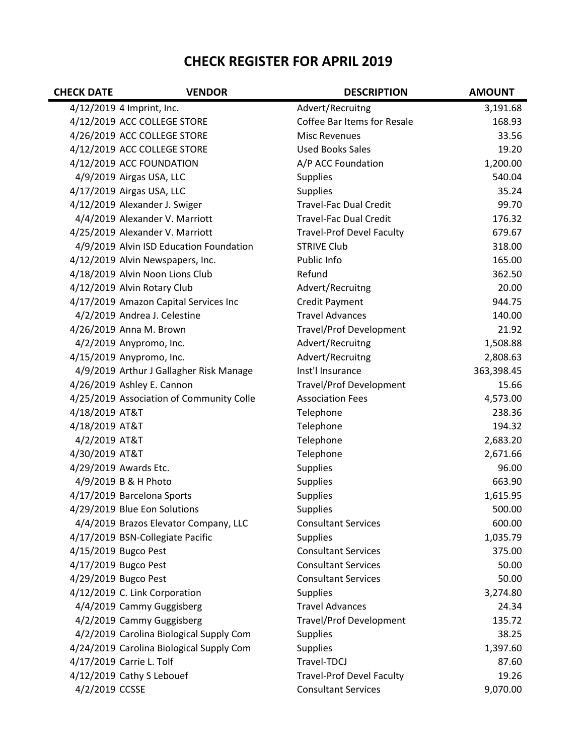## **CHECK REGISTER FOR APRIL 2019**

| <b>CHECK DATE</b> | <b>VENDOR</b>                            | <b>DESCRIPTION</b>               | <b>AMOUNT</b> |
|-------------------|------------------------------------------|----------------------------------|---------------|
|                   | 4/12/2019 4 Imprint, Inc.                | Advert/Recruitng                 | 3,191.68      |
|                   | 4/12/2019 ACC COLLEGE STORE              | Coffee Bar Items for Resale      | 168.93        |
|                   | 4/26/2019 ACC COLLEGE STORE              | <b>Misc Revenues</b>             | 33.56         |
|                   | 4/12/2019 ACC COLLEGE STORE              | <b>Used Books Sales</b>          | 19.20         |
|                   | 4/12/2019 ACC FOUNDATION                 | A/P ACC Foundation               | 1,200.00      |
|                   | 4/9/2019 Airgas USA, LLC                 | <b>Supplies</b>                  | 540.04        |
|                   | 4/17/2019 Airgas USA, LLC                | <b>Supplies</b>                  | 35.24         |
|                   | 4/12/2019 Alexander J. Swiger            | <b>Travel-Fac Dual Credit</b>    | 99.70         |
|                   | 4/4/2019 Alexander V. Marriott           | <b>Travel-Fac Dual Credit</b>    | 176.32        |
|                   | 4/25/2019 Alexander V. Marriott          | <b>Travel-Prof Devel Faculty</b> | 679.67        |
|                   | 4/9/2019 Alvin ISD Education Foundation  | <b>STRIVE Club</b>               | 318.00        |
|                   | 4/12/2019 Alvin Newspapers, Inc.         | Public Info                      | 165.00        |
|                   | 4/18/2019 Alvin Noon Lions Club          | Refund                           | 362.50        |
|                   | 4/12/2019 Alvin Rotary Club              | Advert/Recruitng                 | 20.00         |
|                   | 4/17/2019 Amazon Capital Services Inc    | <b>Credit Payment</b>            | 944.75        |
|                   | 4/2/2019 Andrea J. Celestine             | <b>Travel Advances</b>           | 140.00        |
|                   | 4/26/2019 Anna M. Brown                  | <b>Travel/Prof Development</b>   | 21.92         |
|                   | 4/2/2019 Anypromo, Inc.                  | Advert/Recruitng                 | 1,508.88      |
|                   | 4/15/2019 Anypromo, Inc.                 | Advert/Recruitng                 | 2,808.63      |
|                   | 4/9/2019 Arthur J Gallagher Risk Manage  | Inst'l Insurance                 | 363,398.45    |
|                   | 4/26/2019 Ashley E. Cannon               | <b>Travel/Prof Development</b>   | 15.66         |
|                   | 4/25/2019 Association of Community Colle | <b>Association Fees</b>          | 4,573.00      |
| 4/18/2019 AT&T    |                                          | Telephone                        | 238.36        |
| 4/18/2019 AT&T    |                                          | Telephone                        | 194.32        |
| 4/2/2019 AT&T     |                                          | Telephone                        | 2,683.20      |
| 4/30/2019 AT&T    |                                          | Telephone                        | 2,671.66      |
|                   | 4/29/2019 Awards Etc.                    | <b>Supplies</b>                  | 96.00         |
|                   | 4/9/2019 B & H Photo                     | <b>Supplies</b>                  | 663.90        |
|                   | 4/17/2019 Barcelona Sports               | <b>Supplies</b>                  | 1,615.95      |
|                   | 4/29/2019 Blue Eon Solutions             | <b>Supplies</b>                  | 500.00        |
|                   | 4/4/2019 Brazos Elevator Company, LLC    | <b>Consultant Services</b>       | 600.00        |
|                   | 4/17/2019 BSN-Collegiate Pacific         | <b>Supplies</b>                  | 1,035.79      |
|                   | 4/15/2019 Bugco Pest                     | <b>Consultant Services</b>       | 375.00        |
|                   | 4/17/2019 Bugco Pest                     | <b>Consultant Services</b>       | 50.00         |
|                   | 4/29/2019 Bugco Pest                     | <b>Consultant Services</b>       | 50.00         |
|                   | 4/12/2019 C. Link Corporation            | <b>Supplies</b>                  | 3,274.80      |
|                   | 4/4/2019 Cammy Guggisberg                | <b>Travel Advances</b>           | 24.34         |
|                   | 4/2/2019 Cammy Guggisberg                | <b>Travel/Prof Development</b>   | 135.72        |
|                   | 4/2/2019 Carolina Biological Supply Com  | <b>Supplies</b>                  | 38.25         |
|                   | 4/24/2019 Carolina Biological Supply Com | <b>Supplies</b>                  | 1,397.60      |
|                   | 4/17/2019 Carrie L. Tolf                 | Travel-TDCJ                      | 87.60         |
|                   | 4/12/2019 Cathy S Lebouef                | <b>Travel-Prof Devel Faculty</b> | 19.26         |
| 4/2/2019 CCSSE    |                                          | <b>Consultant Services</b>       | 9,070.00      |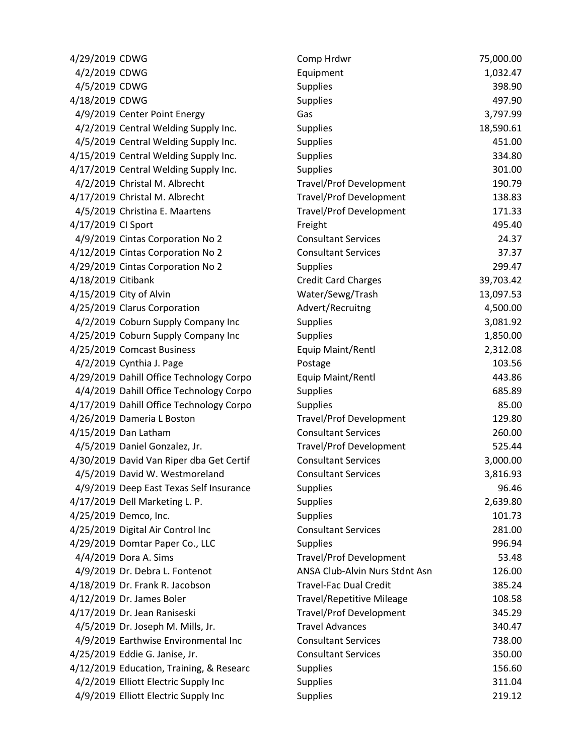| 4/29/2019 CDWG                           | Comp Hrdwr                       | 75,000.00 |
|------------------------------------------|----------------------------------|-----------|
| 4/2/2019 CDWG                            | Equipment                        | 1,032.47  |
| 4/5/2019 CDWG                            | Supplies                         | 398.90    |
| 4/18/2019 CDWG                           | Supplies                         | 497.90    |
| 4/9/2019 Center Point Energy             | Gas                              | 3,797.99  |
| 4/2/2019 Central Welding Supply Inc.     | <b>Supplies</b>                  | 18,590.61 |
| 4/5/2019 Central Welding Supply Inc.     | <b>Supplies</b>                  | 451.00    |
| 4/15/2019 Central Welding Supply Inc.    | Supplies                         | 334.80    |
| 4/17/2019 Central Welding Supply Inc.    | <b>Supplies</b>                  | 301.00    |
| 4/2/2019 Christal M. Albrecht            | <b>Travel/Prof Development</b>   | 190.79    |
| 4/17/2019 Christal M. Albrecht           | <b>Travel/Prof Development</b>   | 138.83    |
| 4/5/2019 Christina E. Maartens           | <b>Travel/Prof Development</b>   | 171.33    |
| 4/17/2019 CI Sport                       | Freight                          | 495.40    |
| 4/9/2019 Cintas Corporation No 2         | <b>Consultant Services</b>       | 24.37     |
| 4/12/2019 Cintas Corporation No 2        | <b>Consultant Services</b>       | 37.37     |
| 4/29/2019 Cintas Corporation No 2        | Supplies                         | 299.47    |
| 4/18/2019 Citibank                       | <b>Credit Card Charges</b>       | 39,703.42 |
| 4/15/2019 City of Alvin                  | Water/Sewg/Trash                 | 13,097.53 |
| 4/25/2019 Clarus Corporation             | Advert/Recruitng                 | 4,500.00  |
| 4/2/2019 Coburn Supply Company Inc       | <b>Supplies</b>                  | 3,081.92  |
| 4/25/2019 Coburn Supply Company Inc      | <b>Supplies</b>                  | 1,850.00  |
| 4/25/2019 Comcast Business               | Equip Maint/Rentl                | 2,312.08  |
| 4/2/2019 Cynthia J. Page                 | Postage                          | 103.56    |
| 4/29/2019 Dahill Office Technology Corpo | Equip Maint/Rentl                | 443.86    |
| 4/4/2019 Dahill Office Technology Corpo  | <b>Supplies</b>                  | 685.89    |
| 4/17/2019 Dahill Office Technology Corpo | <b>Supplies</b>                  | 85.00     |
| 4/26/2019 Dameria L Boston               | <b>Travel/Prof Development</b>   | 129.80    |
| 4/15/2019 Dan Latham                     | <b>Consultant Services</b>       | 260.00    |
| 4/5/2019 Daniel Gonzalez, Jr.            | <b>Travel/Prof Development</b>   | 525.44    |
| 4/30/2019 David Van Riper dba Get Certif | <b>Consultant Services</b>       | 3,000.00  |
| 4/5/2019 David W. Westmoreland           | <b>Consultant Services</b>       | 3,816.93  |
| 4/9/2019 Deep East Texas Self Insurance  | <b>Supplies</b>                  | 96.46     |
| 4/17/2019 Dell Marketing L. P.           | <b>Supplies</b>                  | 2,639.80  |
| 4/25/2019 Demco, Inc.                    | Supplies                         | 101.73    |
| 4/25/2019 Digital Air Control Inc        | <b>Consultant Services</b>       | 281.00    |
| 4/29/2019 Domtar Paper Co., LLC          | <b>Supplies</b>                  | 996.94    |
| 4/4/2019 Dora A. Sims                    | <b>Travel/Prof Development</b>   | 53.48     |
| 4/9/2019 Dr. Debra L. Fontenot           | ANSA Club-Alvin Nurs Stdnt Asn   | 126.00    |
| 4/18/2019 Dr. Frank R. Jacobson          | <b>Travel-Fac Dual Credit</b>    | 385.24    |
| 4/12/2019 Dr. James Boler                | <b>Travel/Repetitive Mileage</b> | 108.58    |
| 4/17/2019 Dr. Jean Raniseski             | <b>Travel/Prof Development</b>   | 345.29    |
| 4/5/2019 Dr. Joseph M. Mills, Jr.        | <b>Travel Advances</b>           | 340.47    |
| 4/9/2019 Earthwise Environmental Inc     | <b>Consultant Services</b>       | 738.00    |
| 4/25/2019 Eddie G. Janise, Jr.           | <b>Consultant Services</b>       | 350.00    |
| 4/12/2019 Education, Training, & Researc | Supplies                         | 156.60    |
| 4/2/2019 Elliott Electric Supply Inc     | <b>Supplies</b>                  | 311.04    |
| 4/9/2019 Elliott Electric Supply Inc     | <b>Supplies</b>                  | 219.12    |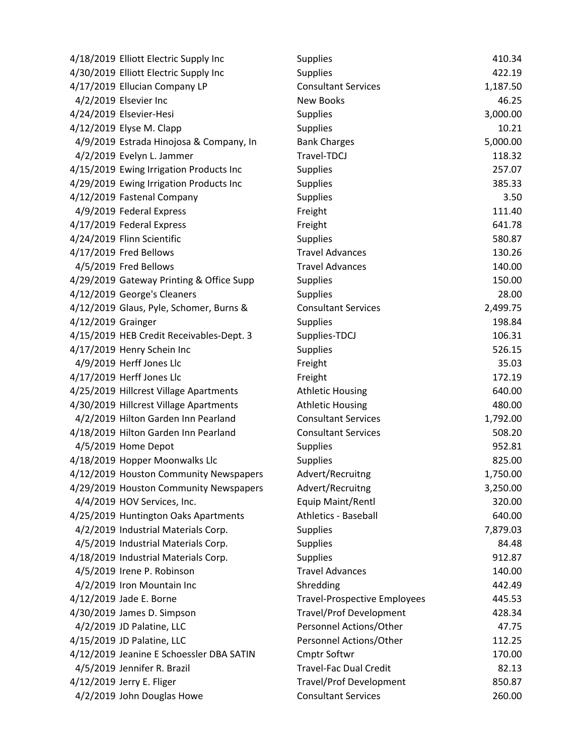| 4/18/2019 Elliott Electric Supply Inc    | <b>Supplies</b>                     | 410.34   |
|------------------------------------------|-------------------------------------|----------|
| 4/30/2019 Elliott Electric Supply Inc    | <b>Supplies</b>                     | 422.19   |
| 4/17/2019 Ellucian Company LP            | <b>Consultant Services</b>          | 1,187.50 |
| 4/2/2019 Elsevier Inc                    | <b>New Books</b>                    | 46.25    |
| 4/24/2019 Elsevier-Hesi                  | Supplies                            | 3,000.00 |
| 4/12/2019 Elyse M. Clapp                 | <b>Supplies</b>                     | 10.21    |
| 4/9/2019 Estrada Hinojosa & Company, In  | <b>Bank Charges</b>                 | 5,000.00 |
| 4/2/2019 Evelyn L. Jammer                | Travel-TDCJ                         | 118.32   |
| 4/15/2019 Ewing Irrigation Products Inc  | Supplies                            | 257.07   |
| 4/29/2019 Ewing Irrigation Products Inc  | <b>Supplies</b>                     | 385.33   |
| 4/12/2019 Fastenal Company               | <b>Supplies</b>                     | 3.50     |
| 4/9/2019 Federal Express                 | Freight                             | 111.40   |
| 4/17/2019 Federal Express                | Freight                             | 641.78   |
| 4/24/2019 Flinn Scientific               | <b>Supplies</b>                     | 580.87   |
| 4/17/2019 Fred Bellows                   | <b>Travel Advances</b>              | 130.26   |
| 4/5/2019 Fred Bellows                    | <b>Travel Advances</b>              | 140.00   |
| 4/29/2019 Gateway Printing & Office Supp | Supplies                            | 150.00   |
| 4/12/2019 George's Cleaners              | <b>Supplies</b>                     | 28.00    |
| 4/12/2019 Glaus, Pyle, Schomer, Burns &  | <b>Consultant Services</b>          | 2,499.75 |
| 4/12/2019 Grainger                       | <b>Supplies</b>                     | 198.84   |
| 4/15/2019 HEB Credit Receivables-Dept. 3 | Supplies-TDCJ                       | 106.31   |
| 4/17/2019 Henry Schein Inc               | <b>Supplies</b>                     | 526.15   |
| 4/9/2019 Herff Jones Llc                 | Freight                             | 35.03    |
| 4/17/2019 Herff Jones Llc                | Freight                             | 172.19   |
| 4/25/2019 Hillcrest Village Apartments   | <b>Athletic Housing</b>             | 640.00   |
| 4/30/2019 Hillcrest Village Apartments   | <b>Athletic Housing</b>             | 480.00   |
| 4/2/2019 Hilton Garden Inn Pearland      | <b>Consultant Services</b>          | 1,792.00 |
| 4/18/2019 Hilton Garden Inn Pearland     | <b>Consultant Services</b>          | 508.20   |
| 4/5/2019 Home Depot                      | <b>Supplies</b>                     | 952.81   |
| 4/18/2019 Hopper Moonwalks Llc           | <b>Supplies</b>                     | 825.00   |
| 4/12/2019 Houston Community Newspapers   | Advert/Recruitng                    | 1,750.00 |
| 4/29/2019 Houston Community Newspapers   | Advert/Recruitng                    | 3,250.00 |
| 4/4/2019 HOV Services, Inc.              | Equip Maint/Rentl                   | 320.00   |
| 4/25/2019 Huntington Oaks Apartments     | <b>Athletics - Baseball</b>         | 640.00   |
| 4/2/2019 Industrial Materials Corp.      | Supplies                            | 7,879.03 |
| 4/5/2019 Industrial Materials Corp.      | <b>Supplies</b>                     | 84.48    |
| 4/18/2019 Industrial Materials Corp.     | <b>Supplies</b>                     | 912.87   |
| 4/5/2019 Irene P. Robinson               | <b>Travel Advances</b>              | 140.00   |
| 4/2/2019 Iron Mountain Inc               | Shredding                           | 442.49   |
| 4/12/2019 Jade E. Borne                  | <b>Travel-Prospective Employees</b> | 445.53   |
| 4/30/2019 James D. Simpson               | <b>Travel/Prof Development</b>      | 428.34   |
| 4/2/2019 JD Palatine, LLC                | Personnel Actions/Other             | 47.75    |
| 4/15/2019 JD Palatine, LLC               | Personnel Actions/Other             | 112.25   |
| 4/12/2019 Jeanine E Schoessler DBA SATIN | Cmptr Softwr                        | 170.00   |
| 4/5/2019 Jennifer R. Brazil              | <b>Travel-Fac Dual Credit</b>       | 82.13    |
| 4/12/2019 Jerry E. Fliger                | <b>Travel/Prof Development</b>      | 850.87   |
| 4/2/2019 John Douglas Howe               | <b>Consultant Services</b>          | 260.00   |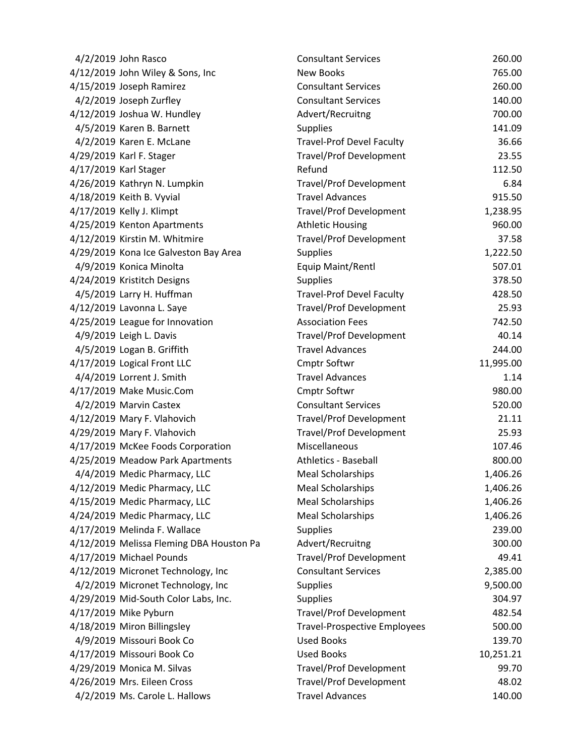| 4/2/2019 John Rasco                      | <b>Consultant Services</b>          | 260.00    |
|------------------------------------------|-------------------------------------|-----------|
| 4/12/2019 John Wiley & Sons, Inc         | <b>New Books</b>                    | 765.00    |
| 4/15/2019 Joseph Ramirez                 | <b>Consultant Services</b>          | 260.00    |
| 4/2/2019 Joseph Zurfley                  | <b>Consultant Services</b>          | 140.00    |
| 4/12/2019 Joshua W. Hundley              | Advert/Recruitng                    | 700.00    |
| 4/5/2019 Karen B. Barnett                | <b>Supplies</b>                     | 141.09    |
| 4/2/2019 Karen E. McLane                 | <b>Travel-Prof Devel Faculty</b>    | 36.66     |
| 4/29/2019 Karl F. Stager                 | <b>Travel/Prof Development</b>      | 23.55     |
| 4/17/2019 Karl Stager                    | Refund                              | 112.50    |
| 4/26/2019 Kathryn N. Lumpkin             | <b>Travel/Prof Development</b>      | 6.84      |
| 4/18/2019 Keith B. Vyvial                | <b>Travel Advances</b>              | 915.50    |
| 4/17/2019 Kelly J. Klimpt                | <b>Travel/Prof Development</b>      | 1,238.95  |
| 4/25/2019 Kenton Apartments              | <b>Athletic Housing</b>             | 960.00    |
| 4/12/2019 Kirstin M. Whitmire            | <b>Travel/Prof Development</b>      | 37.58     |
| 4/29/2019 Kona Ice Galveston Bay Area    | Supplies                            | 1,222.50  |
| 4/9/2019 Konica Minolta                  | Equip Maint/Rentl                   | 507.01    |
| 4/24/2019 Kristitch Designs              | <b>Supplies</b>                     | 378.50    |
| 4/5/2019 Larry H. Huffman                | <b>Travel-Prof Devel Faculty</b>    | 428.50    |
| 4/12/2019 Lavonna L. Saye                | <b>Travel/Prof Development</b>      | 25.93     |
| 4/25/2019 League for Innovation          | <b>Association Fees</b>             | 742.50    |
| 4/9/2019 Leigh L. Davis                  | <b>Travel/Prof Development</b>      | 40.14     |
| 4/5/2019 Logan B. Griffith               | <b>Travel Advances</b>              | 244.00    |
| 4/17/2019 Logical Front LLC              | <b>Cmptr Softwr</b>                 | 11,995.00 |
| 4/4/2019 Lorrent J. Smith                | <b>Travel Advances</b>              | 1.14      |
| 4/17/2019 Make Music.Com                 | Cmptr Softwr                        | 980.00    |
| 4/2/2019 Marvin Castex                   | <b>Consultant Services</b>          | 520.00    |
| 4/12/2019 Mary F. Vlahovich              | <b>Travel/Prof Development</b>      | 21.11     |
| 4/29/2019 Mary F. Vlahovich              | <b>Travel/Prof Development</b>      | 25.93     |
| 4/17/2019 McKee Foods Corporation        | Miscellaneous                       | 107.46    |
| 4/25/2019 Meadow Park Apartments         | <b>Athletics - Baseball</b>         | 800.00    |
| 4/4/2019 Medic Pharmacy, LLC             | <b>Meal Scholarships</b>            | 1,406.26  |
| 4/12/2019 Medic Pharmacy, LLC            | <b>Meal Scholarships</b>            | 1,406.26  |
| 4/15/2019 Medic Pharmacy, LLC            | <b>Meal Scholarships</b>            | 1,406.26  |
| 4/24/2019 Medic Pharmacy, LLC            | <b>Meal Scholarships</b>            | 1,406.26  |
| 4/17/2019 Melinda F. Wallace             | <b>Supplies</b>                     | 239.00    |
| 4/12/2019 Melissa Fleming DBA Houston Pa | Advert/Recruitng                    | 300.00    |
| 4/17/2019 Michael Pounds                 | <b>Travel/Prof Development</b>      | 49.41     |
| 4/12/2019 Micronet Technology, Inc       | <b>Consultant Services</b>          | 2,385.00  |
| 4/2/2019 Micronet Technology, Inc        | Supplies                            | 9,500.00  |
| 4/29/2019 Mid-South Color Labs, Inc.     | <b>Supplies</b>                     | 304.97    |
| 4/17/2019 Mike Pyburn                    | <b>Travel/Prof Development</b>      | 482.54    |
| 4/18/2019 Miron Billingsley              | <b>Travel-Prospective Employees</b> | 500.00    |
| 4/9/2019 Missouri Book Co                | <b>Used Books</b>                   | 139.70    |
| 4/17/2019 Missouri Book Co               | <b>Used Books</b>                   | 10,251.21 |
| 4/29/2019 Monica M. Silvas               | <b>Travel/Prof Development</b>      | 99.70     |
| 4/26/2019 Mrs. Eileen Cross              | <b>Travel/Prof Development</b>      | 48.02     |
| 4/2/2019 Ms. Carole L. Hallows           | <b>Travel Advances</b>              | 140.00    |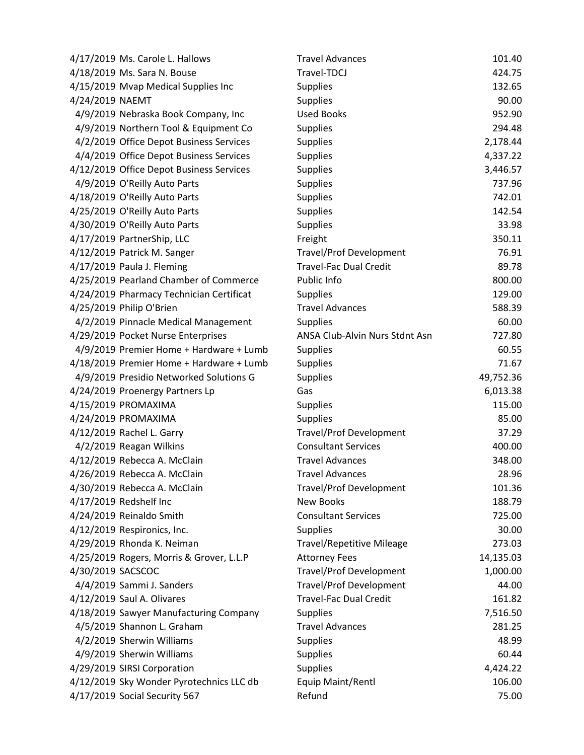|                   | 4/17/2019 Ms. Carole L. Hallows          | <b>Travel Advances</b>           | 101.40    |
|-------------------|------------------------------------------|----------------------------------|-----------|
|                   | 4/18/2019 Ms. Sara N. Bouse              | Travel-TDCJ                      | 424.75    |
|                   | 4/15/2019 Mvap Medical Supplies Inc      | Supplies                         | 132.65    |
| 4/24/2019 NAEMT   |                                          | <b>Supplies</b>                  | 90.00     |
|                   | 4/9/2019 Nebraska Book Company, Inc      | <b>Used Books</b>                | 952.90    |
|                   | 4/9/2019 Northern Tool & Equipment Co    | <b>Supplies</b>                  | 294.48    |
|                   | 4/2/2019 Office Depot Business Services  | <b>Supplies</b>                  | 2,178.44  |
|                   | 4/4/2019 Office Depot Business Services  | <b>Supplies</b>                  | 4,337.22  |
|                   | 4/12/2019 Office Depot Business Services | <b>Supplies</b>                  | 3,446.57  |
|                   | 4/9/2019 O'Reilly Auto Parts             | <b>Supplies</b>                  | 737.96    |
|                   | 4/18/2019 O'Reilly Auto Parts            | <b>Supplies</b>                  | 742.01    |
|                   | 4/25/2019 O'Reilly Auto Parts            | <b>Supplies</b>                  | 142.54    |
|                   | 4/30/2019 O'Reilly Auto Parts            | <b>Supplies</b>                  | 33.98     |
|                   | 4/17/2019 PartnerShip, LLC               | Freight                          | 350.11    |
|                   | 4/12/2019 Patrick M. Sanger              | <b>Travel/Prof Development</b>   | 76.91     |
|                   | 4/17/2019 Paula J. Fleming               | <b>Travel-Fac Dual Credit</b>    | 89.78     |
|                   | 4/25/2019 Pearland Chamber of Commerce   | Public Info                      | 800.00    |
|                   | 4/24/2019 Pharmacy Technician Certificat | <b>Supplies</b>                  | 129.00    |
|                   | 4/25/2019 Philip O'Brien                 | <b>Travel Advances</b>           | 588.39    |
|                   | 4/2/2019 Pinnacle Medical Management     | <b>Supplies</b>                  | 60.00     |
|                   | 4/29/2019 Pocket Nurse Enterprises       | ANSA Club-Alvin Nurs Stdnt Asn   | 727.80    |
|                   | 4/9/2019 Premier Home + Hardware + Lumb  | <b>Supplies</b>                  | 60.55     |
|                   | 4/18/2019 Premier Home + Hardware + Lumb | <b>Supplies</b>                  | 71.67     |
|                   | 4/9/2019 Presidio Networked Solutions G  | Supplies                         | 49,752.36 |
|                   | 4/24/2019 Proenergy Partners Lp          | Gas                              | 6,013.38  |
|                   | 4/15/2019 PROMAXIMA                      | <b>Supplies</b>                  | 115.00    |
|                   | 4/24/2019 PROMAXIMA                      | Supplies                         | 85.00     |
|                   | 4/12/2019 Rachel L. Garry                | <b>Travel/Prof Development</b>   | 37.29     |
|                   | 4/2/2019 Reagan Wilkins                  | <b>Consultant Services</b>       | 400.00    |
|                   | 4/12/2019 Rebecca A. McClain             | <b>Travel Advances</b>           | 348.00    |
|                   | 4/26/2019 Rebecca A. McClain             | <b>Travel Advances</b>           | 28.96     |
|                   | 4/30/2019 Rebecca A. McClain             | <b>Travel/Prof Development</b>   | 101.36    |
|                   | 4/17/2019 Redshelf Inc                   | <b>New Books</b>                 | 188.79    |
|                   | 4/24/2019 Reinaldo Smith                 | <b>Consultant Services</b>       | 725.00    |
|                   | 4/12/2019 Respironics, Inc.              | <b>Supplies</b>                  | 30.00     |
|                   | 4/29/2019 Rhonda K. Neiman               | <b>Travel/Repetitive Mileage</b> | 273.03    |
|                   | 4/25/2019 Rogers, Morris & Grover, L.L.P | <b>Attorney Fees</b>             | 14,135.03 |
| 4/30/2019 SACSCOC |                                          | <b>Travel/Prof Development</b>   | 1,000.00  |
|                   | 4/4/2019 Sammi J. Sanders                | <b>Travel/Prof Development</b>   | 44.00     |
|                   | 4/12/2019 Saul A. Olivares               | <b>Travel-Fac Dual Credit</b>    | 161.82    |
|                   | 4/18/2019 Sawyer Manufacturing Company   | <b>Supplies</b>                  | 7,516.50  |
|                   | 4/5/2019 Shannon L. Graham               | <b>Travel Advances</b>           | 281.25    |
|                   | 4/2/2019 Sherwin Williams                | <b>Supplies</b>                  | 48.99     |
|                   | 4/9/2019 Sherwin Williams                | <b>Supplies</b>                  | 60.44     |
|                   | 4/29/2019 SIRSI Corporation              | <b>Supplies</b>                  | 4,424.22  |
|                   | 4/12/2019 Sky Wonder Pyrotechnics LLC db | Equip Maint/Rentl                | 106.00    |
|                   | 4/17/2019 Social Security 567            | Refund                           | 75.00     |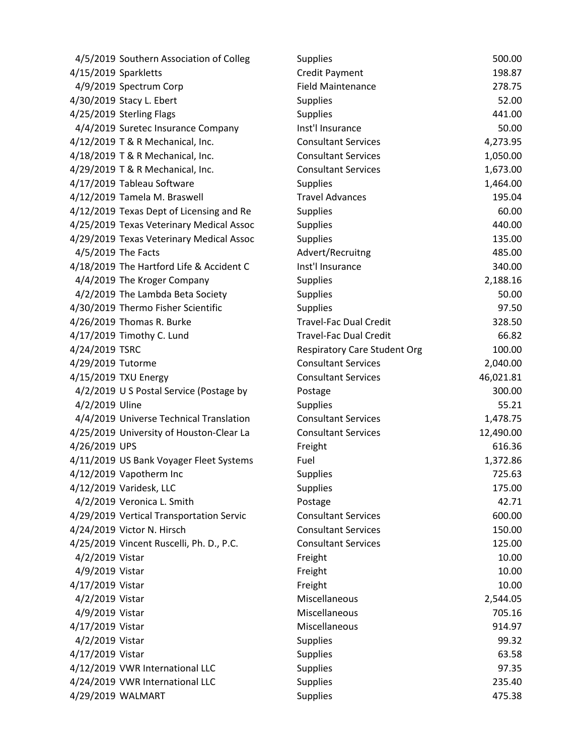| 4/5/2019 Southern Association of Colleg  | <b>Supplies</b>                     | 500.00    |
|------------------------------------------|-------------------------------------|-----------|
| 4/15/2019 Sparkletts                     | <b>Credit Payment</b>               | 198.87    |
| 4/9/2019 Spectrum Corp                   | <b>Field Maintenance</b>            | 278.75    |
| 4/30/2019 Stacy L. Ebert                 | <b>Supplies</b>                     | 52.00     |
| 4/25/2019 Sterling Flags                 | <b>Supplies</b>                     | 441.00    |
| 4/4/2019 Suretec Insurance Company       | Inst'l Insurance                    | 50.00     |
| 4/12/2019 T & R Mechanical, Inc.         | <b>Consultant Services</b>          | 4,273.95  |
| 4/18/2019 T & R Mechanical, Inc.         | <b>Consultant Services</b>          | 1,050.00  |
| 4/29/2019 T & R Mechanical, Inc.         | <b>Consultant Services</b>          | 1,673.00  |
| 4/17/2019 Tableau Software               | <b>Supplies</b>                     | 1,464.00  |
| 4/12/2019 Tamela M. Braswell             | <b>Travel Advances</b>              | 195.04    |
| 4/12/2019 Texas Dept of Licensing and Re | Supplies                            | 60.00     |
| 4/25/2019 Texas Veterinary Medical Assoc | <b>Supplies</b>                     | 440.00    |
| 4/29/2019 Texas Veterinary Medical Assoc | <b>Supplies</b>                     | 135.00    |
| 4/5/2019 The Facts                       | Advert/Recruitng                    | 485.00    |
| 4/18/2019 The Hartford Life & Accident C | Inst'l Insurance                    | 340.00    |
| 4/4/2019 The Kroger Company              | <b>Supplies</b>                     | 2,188.16  |
| 4/2/2019 The Lambda Beta Society         | <b>Supplies</b>                     | 50.00     |
| 4/30/2019 Thermo Fisher Scientific       | <b>Supplies</b>                     | 97.50     |
| 4/26/2019 Thomas R. Burke                | <b>Travel-Fac Dual Credit</b>       | 328.50    |
| 4/17/2019 Timothy C. Lund                | <b>Travel-Fac Dual Credit</b>       | 66.82     |
| 4/24/2019 TSRC                           | <b>Respiratory Care Student Org</b> | 100.00    |
| 4/29/2019 Tutorme                        | <b>Consultant Services</b>          | 2,040.00  |
| 4/15/2019 TXU Energy                     | <b>Consultant Services</b>          | 46,021.81 |
| 4/2/2019 U S Postal Service (Postage by  | Postage                             | 300.00    |
| 4/2/2019 Uline                           | <b>Supplies</b>                     | 55.21     |
| 4/4/2019 Universe Technical Translation  | <b>Consultant Services</b>          | 1,478.75  |
| 4/25/2019 University of Houston-Clear La | <b>Consultant Services</b>          | 12,490.00 |
| 4/26/2019 UPS                            | Freight                             | 616.36    |
| 4/11/2019 US Bank Voyager Fleet Systems  | Fuel                                | 1,372.86  |
| 4/12/2019 Vapotherm Inc                  | <b>Supplies</b>                     | 725.63    |
| 4/12/2019 Varidesk, LLC                  | <b>Supplies</b>                     | 175.00    |
| 4/2/2019 Veronica L. Smith               | Postage                             | 42.71     |
| 4/29/2019 Vertical Transportation Servic | <b>Consultant Services</b>          | 600.00    |
| 4/24/2019 Victor N. Hirsch               | <b>Consultant Services</b>          | 150.00    |
| 4/25/2019 Vincent Ruscelli, Ph. D., P.C. | <b>Consultant Services</b>          | 125.00    |
| 4/2/2019 Vistar                          | Freight                             | 10.00     |
| 4/9/2019 Vistar                          | Freight                             | 10.00     |
| 4/17/2019 Vistar                         | Freight                             | 10.00     |
| 4/2/2019 Vistar                          | Miscellaneous                       | 2,544.05  |
| 4/9/2019 Vistar                          | Miscellaneous                       | 705.16    |
| 4/17/2019 Vistar                         | Miscellaneous                       | 914.97    |
| 4/2/2019 Vistar                          | <b>Supplies</b>                     | 99.32     |
| 4/17/2019 Vistar                         | <b>Supplies</b>                     | 63.58     |
| 4/12/2019 VWR International LLC          | <b>Supplies</b>                     | 97.35     |
| 4/24/2019 VWR International LLC          | <b>Supplies</b>                     | 235.40    |
| 4/29/2019 WALMART                        | <b>Supplies</b>                     | 475.38    |